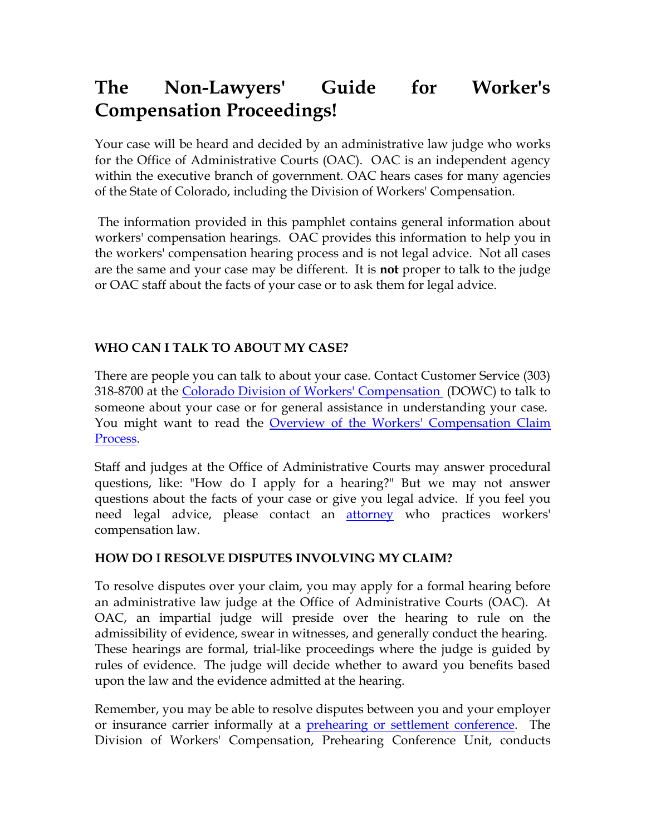# **The Non-Lawyers' Guide for Worker's Compensation Proceedings!**

Your case will be heard and decided by an administrative law judge who works for the Office of Administrative Courts (OAC). OAC is an independent agency within the executive branch of government. OAC hears cases for many agencies of the State of Colorado, including the Division of Workers' Compensation.

The information provided in this pamphlet contains general information about workers' compensation hearings. OAC provides this information to help you in the workers' compensation hearing process and is not legal advice. Not all cases are the same and your case may be different. It is **not** proper to talk to the judge or OAC staff about the facts of your case or to ask them for legal advice.

## **WHO CAN I TALK TO ABOUT MY CASE?**

There are people you can talk to about your case. Contact Customer Service (303) 318-8700 at the [Colorado Division of Workers' Compensation](http://www.coworkforce.com/dwc/) (DOWC) to talk to someone about your case or for general assistance in understanding your case. You might want to read the [Overview of the Workers' Compensation Claim](http://www.colorado.gov/dpa/oac/Redesign2008/RWCCompOverview.htm) [Process.](http://www.colorado.gov/dpa/oac/Redesign2008/RWCCompOverview.htm)

Staff and judges at the Office of Administrative Courts may answer procedural questions, like: "How do I apply for a hearing?" But we may not answer questions about the facts of your case or give you legal advice. If you feel you need legal advice, please contact an <u>[attorney](http://www.coworkforce.com/DWC/Attorneys/WC%20provider%20List%20(2008).pdf)</u> who practices workers' compensation law.

## **HOW DO I RESOLVE DISPUTES INVOLVING MY CLAIM?**

To resolve disputes over your claim, you may apply for a formal hearing before an administrative law judge at the Office of Administrative Courts (OAC). At OAC, an impartial judge will preside over the hearing to rule on the admissibility of evidence, swear in witnesses, and generally conduct the hearing. These hearings are formal, trial-like proceedings where the judge is guided by rules of evidence. The judge will decide whether to award you benefits based upon the law and the evidence admitted at the hearing.

Remember, you may be able to resolve disputes between you and your employer or insurance carrier informally at a [prehearing or settlement conference.](http://www.coworkforce.com/dwc/Pre%20Hearings/Dispute_Resolution.asp) The Division of Workers' Compensation, Prehearing Conference Unit, conducts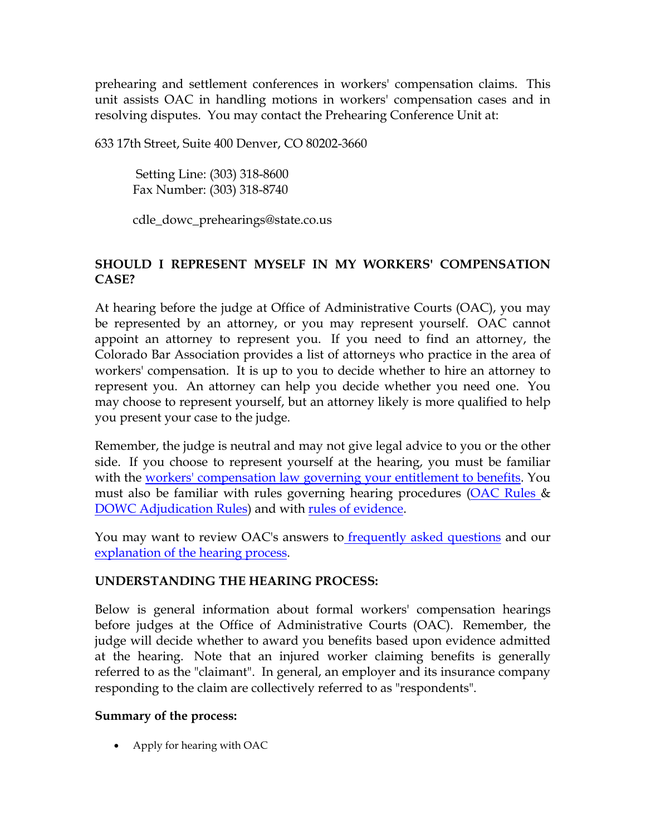prehearing and settlement conferences in workers' compensation claims. This unit assists OAC in handling motions in workers' compensation cases and in resolving disputes. You may contact the Prehearing Conference Unit at:

633 17th Street, Suite 400 Denver, CO 80202-3660

 Setting Line: (303) 318-8600 Fax Number: (303) 318-8740

cdle\_dowc\_prehearings@state.co.us

## **SHOULD I REPRESENT MYSELF IN MY WORKERS' COMPENSATION CASE?**

At hearing before the judge at Office of Administrative Courts (OAC), you may be represented by an attorney, or you may represent yourself. OAC cannot appoint an attorney to represent you. If you need to find an attorney, the Colorado Bar Association provides a list of attorneys who practice in the area of workers' compensation. It is up to you to decide whether to hire an attorney to represent you. An attorney can help you decide whether you need one. You may choose to represent yourself, but an attorney likely is more qualified to help you present your case to the judge.

Remember, the judge is neutral and may not give legal advice to you or the other side. If you choose to represent yourself at the hearing, you must be familiar with the [workers' compensation law governing your entitlement to benefits.](http://www.coworkforce.com/DWC/WC_Act/Workers) You must also be familiar with rules governing hearing procedures [\(OAC Rules &](http://www.colorado.gov/dpa/oac/Redesign2008/RWCOACRP.htm) [DOWC Adjudication Rules\)](http://www.coworkforce.com/dwc/Rules/Rules%20pdf/RulesLinksTable.asp) and with [rules of evidence.](http://www.boulder-bar.org/bar_media/evidence/13.11.html)

You may want to review OAC's answers to **[frequently asked questions](http://www.colorado.gov/dpa/oac/Redesign2008/RWCFAQ1.htm)** and our [explanation of the hearing process.](http://www.colorado.gov/dpa/oac/Redesign2008/RWCCompOverview.htm)

## **UNDERSTANDING THE HEARING PROCESS:**

Below is general information about formal workers' compensation hearings before judges at the Office of Administrative Courts (OAC). Remember, the judge will decide whether to award you benefits based upon evidence admitted at the hearing. Note that an injured worker claiming benefits is generally referred to as the "claimant". In general, an employer and its insurance company responding to the claim are collectively referred to as "respondents".

## **Summary of the process:**

• Apply for hearing with OAC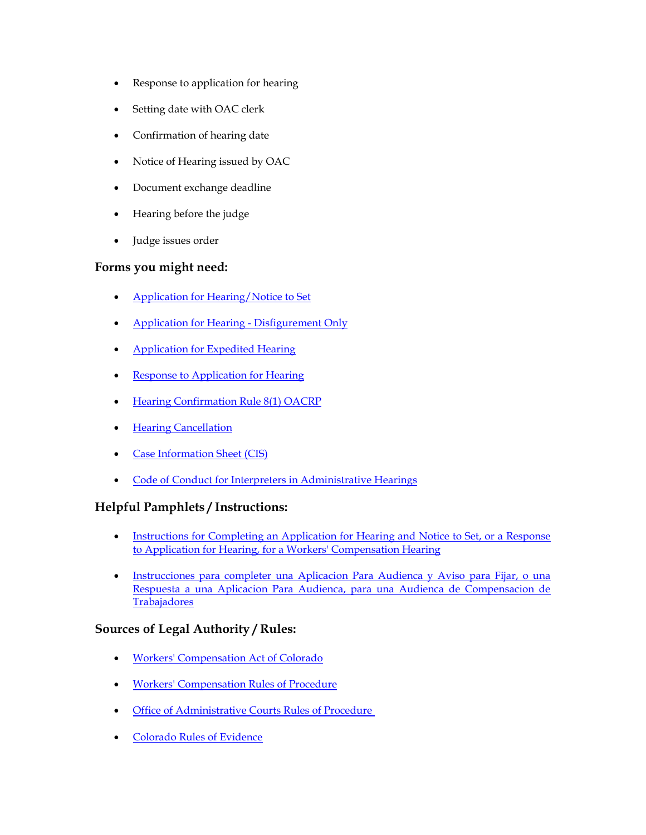- Response to application for hearing
- Setting date with OAC clerk
- Confirmation of hearing date
- Notice of Hearing issued by OAC
- Document exchange deadline
- Hearing before the judge
- Judge issues order

#### **Forms you might need:**

- [Application for Hearing/Notice to Set](http://www.colorado.gov/dpa/oac/pdf/apphrg.pdf)
- [Application for Hearing -](http://www.colorado.gov/dpa/oac/pdf/AppDisfig.pdf) Disfigurement Only
- [Application for Expedited Hearing](http://www.colorado.gov/dpa/oac/pdf/appexpd.pdf)
- **[Response to Application for Hearing](http://www.colorado.gov/dpa/oac/pdf/RsptoHrng.pdf)**
- [Hearing Confirmation Rule 8\(1\) OACRP](http://www.colorado.gov/dpa/oac/pdf/ConfirmationForm.pdf)
- [Hearing Cancellation](http://www.colorado.gov/dpa/oac/pdf/CancelForm.pdf)
- [Case Information Sheet \(CIS\)](http://www.colorado.gov/dpa/oac/pdf/cis.pdf)
- [Code of Conduct for Interpreters in Administrative Hearings](http://www.colorado.gov/dpa/oac/pdf/Translator.pdf)

#### **Helpful Pamphlets / Instructions:**

- Instructions for Completing an Application for Hearing and Notice to Set, or a Response [to Application for Hearing, for a Workers' Compensation Hearing](http://www.colorado.gov/dpa/oac/pdf/Instructions.pdf)
- [Instrucciones para completer una Aplicacion Para Audienca y Aviso para Fijar, o una](http://www.colorado.gov/dpa/oac/pdf/nlguide_Spanish.pdf)  [Respuesta a una Aplicacion Para Audienca, para una Audienca de Compensacion de](http://www.colorado.gov/dpa/oac/pdf/nlguide_Spanish.pdf)  **[Trabajadores](http://www.colorado.gov/dpa/oac/pdf/nlguide_Spanish.pdf)**

#### **Sources of Legal Authority / Rules:**

- [Workers' Compensation Act of Colorado](http://www.coworkforce.com/DWC/WC_Act/Workers)
- [Workers' Compensation Rules of Procedure](http://www.coworkforce.com/dwc/Rules/Rules%20pdf/RulesLinksTable.asp)
- [Office of Administrative Courts Rules of Procedure](http://www.colorado.gov/dpa/oac/Redesign2008/RWCOACRP.htm)
- [Colorado Rules of Evidence](http://www.boulder-bar.org/bar_media/evidence/13.11.html)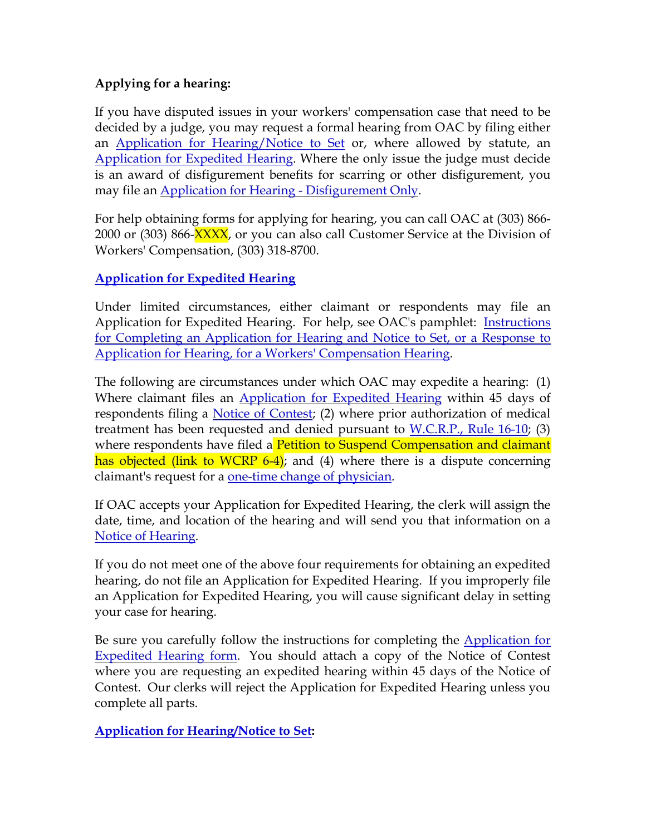## **Applying for a hearing:**

If you have disputed issues in your workers' compensation case that need to be decided by a judge, you may request a formal hearing from OAC by filing either an [Application for Hearing/Notice to Set](http://www.colorado.gov/dpa/oac/pdf/apphrg.pdf) or, where allowed by statute, an [Application for Expedited Hearing.](http://www.colorado.gov/dpa/oac/pdf/appexpd.pdf) Where the only issue the judge must decide is an award of disfigurement benefits for scarring or other disfigurement, you may file an [Application for Hearing -](http://www.colorado.gov/dpa/oac/pdf/AppDisfig.pdf) Disfigurement Only.

For help obtaining forms for applying for hearing, you can call OAC at (303) 866- 2000 or (303) 866-XXXX, or you can also call Customer Service at the Division of Workers' Compensation, (303) 318-8700.

## **[Application for Expedited Hearing](http://www.colorado.gov/dpa/oac/pdf/appexpd.pdf)**

Under limited circumstances, either claimant or respondents may file an Application for Expedited Hearing. For help, see OAC's pamphlet: **Instructions** [for Completing an Application for Hearing and Notice to Set, or a Response to](http://www.colorado.gov/dpa/oac/pdf/Instructions.pdf)  [Application for Hearing, for a Workers' Compensation Hearing.](http://www.colorado.gov/dpa/oac/pdf/Instructions.pdf)

The following are circumstances under which OAC may expedite a hearing: (1) Where claimant files an [Application for Expedited Hearing](http://www.colorado.gov/dpa/oac/pdf/appexpd.pdf) within 45 days of respondents filing a [Notice of Contest;](http://www.coworkforce.com/DWC/WC_Act/Pages/Workers_Compensation_Act_By_Article.asp#8-43-203) (2) where prior authorization of medical treatment has been requested and denied pursuant to [W.C.R.P., Rule 16-10;](http://www.coworkforce.com/dwc/Rules/HTML/RapidNavRules13-15_17.asp#16-10%20CONTEST_OF_A_REQUEST) (3) where respondents have filed a Petition to Suspend Compensation and claimant has objected (link to WCRP 6-4); and (4) where there is a dispute concerning claimant's request for a <u>one-time change of physician</u>.

If OAC accepts your Application for Expedited Hearing, the clerk will assign the date, time, and location of the hearing and will send you that information on a [Notice of Hearing.](http://www.coworkforce.com/DWC/WC_Act/Pages/Workers_Compensation_Act_By_Article.asp#8-43-207)

If you do not meet one of the above four requirements for obtaining an expedited hearing, do not file an Application for Expedited Hearing. If you improperly file an Application for Expedited Hearing, you will cause significant delay in setting your case for hearing.

Be sure you carefully follow the instructions for completing the Application for [Expedited Hearing form.](http://www.colorado.gov/dpa/oac/pdf/Instructions.pdf) You should attach a copy of the Notice of Contest where you are requesting an expedited hearing within 45 days of the Notice of Contest. Our clerks will reject the Application for Expedited Hearing unless you complete all parts.

**[Application for Hearing/Notice to Set:](http://www.colorado.gov/dpa/oac/pdf/apphrg.pdf)**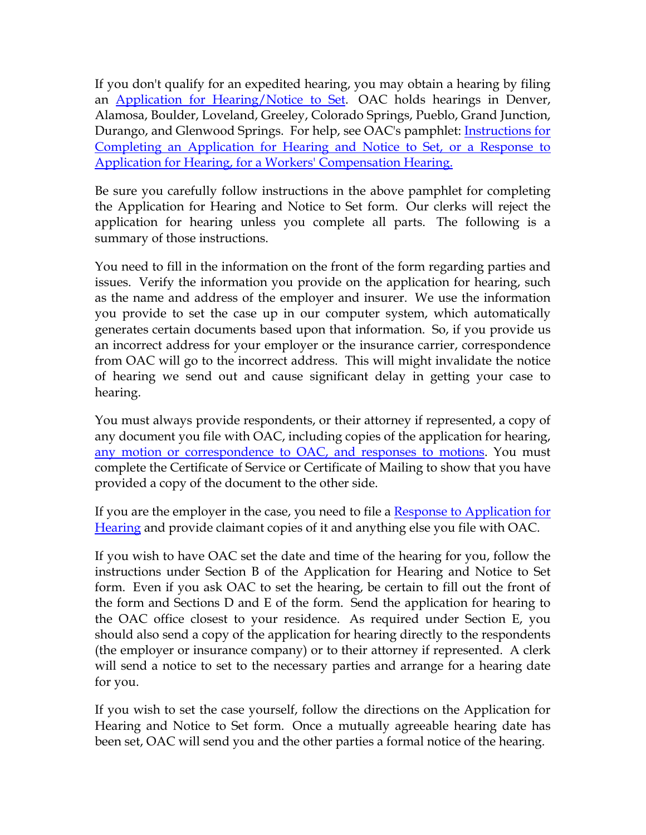If you don't qualify for an expedited hearing, you may obtain a hearing by filing an [Application for Hearing/Notice to Set.](http://www.colorado.gov/dpa/oac/pdf/apphrg.pdf) OAC holds hearings in Denver, Alamosa, Boulder, Loveland, Greeley, Colorado Springs, Pueblo, Grand Junction, Durango, and Glenwood Springs. For help, see OAC's pamphlet: [Instructions for](http://www.colorado.gov/dpa/oac/pdf/Instructions.pdf)  [Completing an Application for Hearing and Notice to Set, or a Response to](http://www.colorado.gov/dpa/oac/pdf/Instructions.pdf)  [Application for Hearing, for a Workers' Compensation Hearing.](http://www.colorado.gov/dpa/oac/pdf/Instructions.pdf)

Be sure you carefully follow instructions in the above pamphlet for completing the Application for Hearing and Notice to Set form. Our clerks will reject the application for hearing unless you complete all parts. The following is a summary of those instructions.

You need to fill in the information on the front of the form regarding parties and issues. Verify the information you provide on the application for hearing, such as the name and address of the employer and insurer. We use the information you provide to set the case up in our computer system, which automatically generates certain documents based upon that information. So, if you provide us an incorrect address for your employer or the insurance carrier, correspondence from OAC will go to the incorrect address. This will might invalidate the notice of hearing we send out and cause significant delay in getting your case to hearing.

You must always provide respondents, or their attorney if represented, a copy of any document you file with OAC, including copies of the application for hearing, [any motion or correspondence to OAC, and responses to motions.](http://www.colorado.gov/dpa/oac/Redesign2008/RWCOACRP.htm#6) You must complete the Certificate of Service or Certificate of Mailing to show that you have provided a copy of the document to the other side.

If you are the employer in the case, you need to file a Response to Application for [Hearing](http://www.colorado.gov/dpa/oac/pdf/RsptoHrng.pdf) and provide claimant copies of it and anything else you file with OAC.

If you wish to have OAC set the date and time of the hearing for you, follow the instructions under Section B of the Application for Hearing and Notice to Set form. Even if you ask OAC to set the hearing, be certain to fill out the front of the form and Sections D and E of the form. Send the application for hearing to the OAC office closest to your residence. As required under Section E, you should also send a copy of the application for hearing directly to the respondents (the employer or insurance company) or to their attorney if represented. A clerk will send a notice to set to the necessary parties and arrange for a hearing date for you.

If you wish to set the case yourself, follow the directions on the Application for Hearing and Notice to Set form. Once a mutually agreeable hearing date has been set, OAC will send you and the other parties a formal notice of the hearing.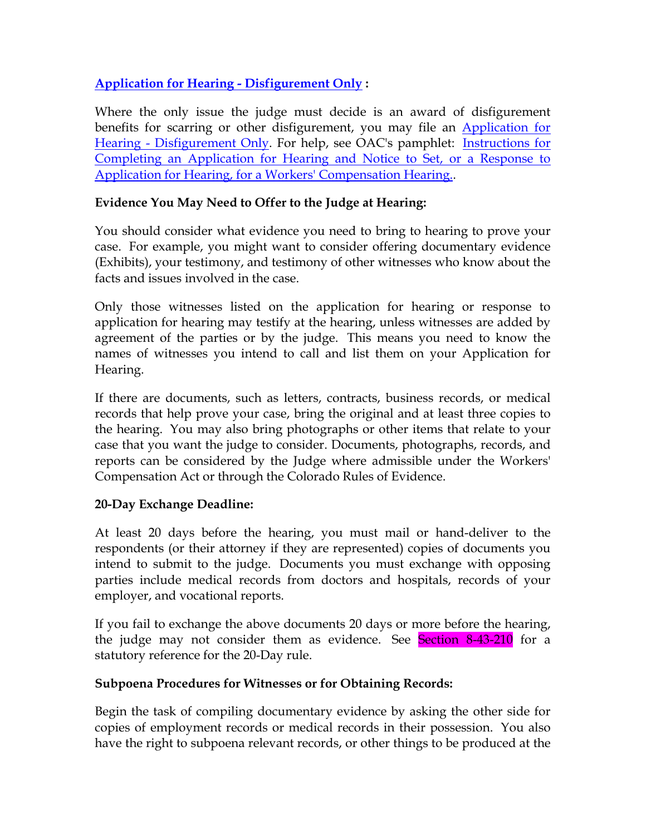**[Application for Hearing -](http://www.colorado.gov/dpa/oac/pdf/AppDisfig.pdf) Disfigurement Only :**

Where the only issue the judge must decide is an award of disfigurement benefits for scarring or other disfigurement, you may file an **Application** for Hearing - [Disfigurement Only.](http://www.colorado.gov/dpa/oac/pdf/AppDisfig.pdf) For help, see OAC's pamphlet: Instructions for [Completing an Application for Hearing and Notice to Set, or a Response to](http://www.colorado.gov/dpa/oac/pdf/Instructions.pdf)  [Application for Hearing, for a Workers' Compensation Hearing..](http://www.colorado.gov/dpa/oac/pdf/Instructions.pdf)

## **Evidence You May Need to Offer to the Judge at Hearing:**

You should consider what evidence you need to bring to hearing to prove your case. For example, you might want to consider offering documentary evidence (Exhibits), your testimony, and testimony of other witnesses who know about the facts and issues involved in the case.

Only those witnesses listed on the application for hearing or response to application for hearing may testify at the hearing, unless witnesses are added by agreement of the parties or by the judge. This means you need to know the names of witnesses you intend to call and list them on your Application for Hearing.

If there are documents, such as letters, contracts, business records, or medical records that help prove your case, bring the original and at least three copies to the hearing. You may also bring photographs or other items that relate to your case that you want the judge to consider. Documents, photographs, records, and reports can be considered by the Judge where admissible under the Workers' Compensation Act or through the Colorado Rules of Evidence.

## **20-Day Exchange Deadline:**

At least 20 days before the hearing, you must mail or hand-deliver to the respondents (or their attorney if they are represented) copies of documents you intend to submit to the judge. Documents you must exchange with opposing parties include medical records from doctors and hospitals, records of your employer, and vocational reports.

If you fail to exchange the above documents 20 days or more before the hearing, the judge may not consider them as evidence. See Section 8-43-210 for a statutory reference for the 20-Day rule.

## **Subpoena Procedures for Witnesses or for Obtaining Records:**

Begin the task of compiling documentary evidence by asking the other side for copies of employment records or medical records in their possession. You also have the right to subpoena relevant records, or other things to be produced at the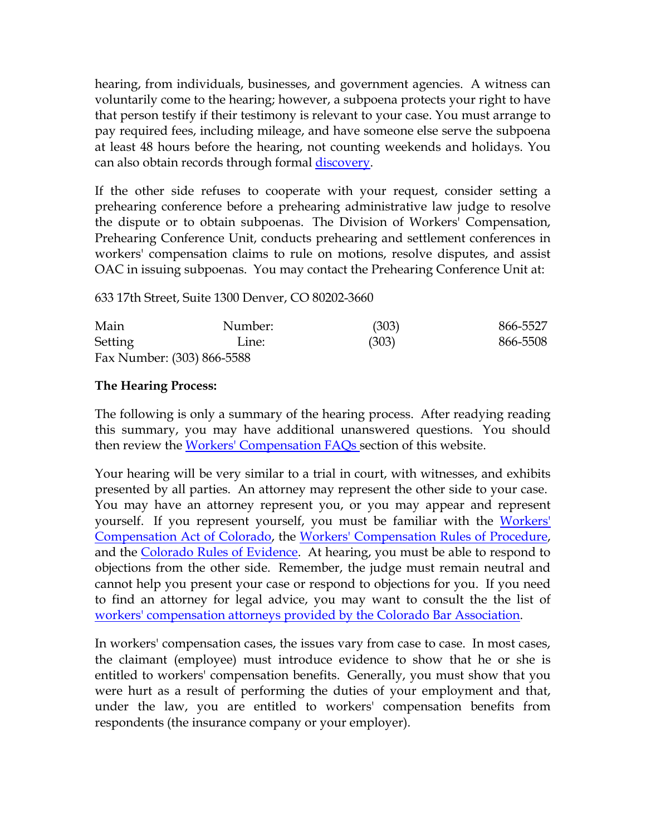hearing, from individuals, businesses, and government agencies. A witness can voluntarily come to the hearing; however, a subpoena protects your right to have that person testify if their testimony is relevant to your case. You must arrange to pay required fees, including mileage, and have someone else serve the subpoena at least 48 hours before the hearing, not counting weekends and holidays. You can also obtain records through formal [discovery.](http://www.colorado.gov/dpa/oac/Redesign2008/RWCFAQ2.htm#What_is_Discovery)

If the other side refuses to cooperate with your request, consider setting a prehearing conference before a prehearing administrative law judge to resolve the dispute or to obtain subpoenas. The Division of Workers' Compensation, Prehearing Conference Unit, conducts prehearing and settlement conferences in workers' compensation claims to rule on motions, resolve disputes, and assist OAC in issuing subpoenas. You may contact the Prehearing Conference Unit at:

633 17th Street, Suite 1300 Denver, CO 80202-3660

| Main    | Number:                    | (303) | 866-5527 |
|---------|----------------------------|-------|----------|
| Setting | Line:                      | (303) | 866-5508 |
|         | Fax Number: (303) 866-5588 |       |          |

### **The Hearing Process:**

The following is only a summary of the hearing process. After readying reading this summary, you may have additional unanswered questions. You should then review the [Workers' Compensation FAQs s](http://www.colorado.gov/dpa/oac/Redesign2008/RWCFAQIndex.htm)ection of this website.

Your hearing will be very similar to a trial in court, with witnesses, and exhibits presented by all parties. An attorney may represent the other side to your case. You may have an attorney represent you, or you may appear and represent yourself. If you represent yourself, you must be familiar with the Workers' [Compensation Act of Colorado,](http://www.coworkforce.com/DWC/WC_Act/Workers) the [Workers' Compensation Rules of Procedure,](http://www.coworkforce.com/dwc/Rules/Rules%20pdf/RulesLinksTable.asp) and the [Colorado Rules of Evidence.](http://www.boulder-bar.org/bar_media/evidence/13.11.html) At hearing, you must be able to respond to objections from the other side. Remember, the judge must remain neutral and cannot help you present your case or respond to objections for you. If you need to find an attorney for legal advice, you may want to consult the the list of [workers' compensation attorneys provided by the Colorado Bar Association.](http://www.coworkforce.com/DWC/Attorneys/WC%20provider%20List%20(2008).pdf)

In workers' compensation cases, the issues vary from case to case. In most cases, the claimant (employee) must introduce evidence to show that he or she is entitled to workers' compensation benefits. Generally, you must show that you were hurt as a result of performing the duties of your employment and that, under the law, you are entitled to workers' compensation benefits from respondents (the insurance company or your employer).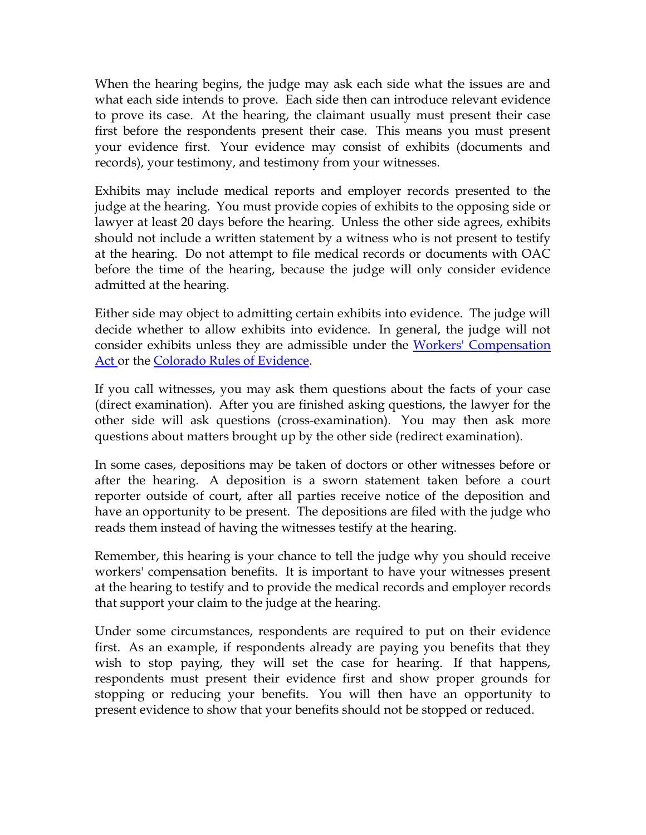When the hearing begins, the judge may ask each side what the issues are and what each side intends to prove. Each side then can introduce relevant evidence to prove its case. At the hearing, the claimant usually must present their case first before the respondents present their case. This means you must present your evidence first. Your evidence may consist of exhibits (documents and records), your testimony, and testimony from your witnesses.

Exhibits may include medical reports and employer records presented to the judge at the hearing. You must provide copies of exhibits to the opposing side or lawyer at least 20 days before the hearing. Unless the other side agrees, exhibits should not include a written statement by a witness who is not present to testify at the hearing. Do not attempt to file medical records or documents with OAC before the time of the hearing, because the judge will only consider evidence admitted at the hearing.

Either side may object to admitting certain exhibits into evidence. The judge will decide whether to allow exhibits into evidence. In general, the judge will not consider exhibits unless they are admissible under the Workers' Compensation [Act o](http://www.coworkforce.com/DWC/WC_Act/Workers)r the [Colorado Rules of Evidence.](http://www.boulder-bar.org/bar_media/evidence/13.11.html)

If you call witnesses, you may ask them questions about the facts of your case (direct examination). After you are finished asking questions, the lawyer for the other side will ask questions (cross-examination). You may then ask more questions about matters brought up by the other side (redirect examination).

In some cases, depositions may be taken of doctors or other witnesses before or after the hearing. A deposition is a sworn statement taken before a court reporter outside of court, after all parties receive notice of the deposition and have an opportunity to be present. The depositions are filed with the judge who reads them instead of having the witnesses testify at the hearing.

Remember, this hearing is your chance to tell the judge why you should receive workers' compensation benefits. It is important to have your witnesses present at the hearing to testify and to provide the medical records and employer records that support your claim to the judge at the hearing.

Under some circumstances, respondents are required to put on their evidence first. As an example, if respondents already are paying you benefits that they wish to stop paying, they will set the case for hearing. If that happens, respondents must present their evidence first and show proper grounds for stopping or reducing your benefits. You will then have an opportunity to present evidence to show that your benefits should not be stopped or reduced.